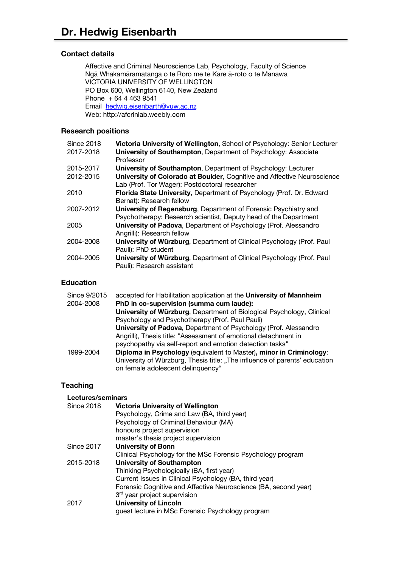## **Contact details**

Affective and Criminal Neuroscience Lab, Psychology, Faculty of Science Ngā Whakamāramatanga o te Roro me te Kare ā-roto o te Manawa VICTORIA UNIVERSITY OF WELLINGTON PO Box 600, Wellington 6140, New Zealand Phone + 64 4 463 9541 Email hedwig.eisenbarth@vuw.ac.nz Web: http://afcrinlab.weebly.com

### **Research positions**

| <b>Since 2018</b> | Victoria University of Wellington, School of Psychology: Senior Lecturer |
|-------------------|--------------------------------------------------------------------------|
| 2017-2018         | University of Southampton, Department of Psychology: Associate           |
|                   | Professor                                                                |
| 2015-2017         | University of Southampton, Department of Psychology: Lecturer            |
| 2012-2015         | University of Colorado at Boulder, Cognitive and Affective Neuroscience  |
|                   | Lab (Prof. Tor Wager): Postdoctoral researcher                           |
| 2010              | Florida State University, Department of Psychology (Prof. Dr. Edward     |
|                   | Bernat): Research fellow                                                 |
| 2007-2012         | University of Regensburg, Department of Forensic Psychiatry and          |
|                   | Psychotherapy: Research scientist, Deputy head of the Department         |
| 2005              | University of Padova, Department of Psychology (Prof. Alessandro         |
|                   | Angrilli): Research fellow                                               |
| 2004-2008         | University of Würzburg, Department of Clinical Psychology (Prof. Paul    |
|                   | Pauli): PhD student                                                      |
| 2004-2005         | University of Würzburg, Department of Clinical Psychology (Prof. Paul    |
|                   | Pauli): Research assistant                                               |

### **Education**

| Since 9/2015 | accepted for Habilitation application at the University of Mannheim        |
|--------------|----------------------------------------------------------------------------|
| 2004-2008    | PhD in co-supervision (summa cum laude):                                   |
|              | University of Würzburg, Department of Biological Psychology, Clinical      |
|              | Psychology and Psychotherapy (Prof. Paul Pauli)                            |
|              | University of Padova, Department of Psychology (Prof. Alessandro           |
|              | Angrilli), Thesis title: "Assessment of emotional detachment in            |
|              | psychopathy via self-report and emotion detection tasks"                   |
| 1999-2004    | Diploma in Psychology (equivalent to Master), minor in Criminology:        |
|              | University of Würzburg, Thesis title: "The influence of parents' education |
|              | on female adolescent delinquency"                                          |

## **Teaching**

### **Lectures/seminars**

| <b>Since 2018</b> | <b>Victoria University of Wellington</b>                        |
|-------------------|-----------------------------------------------------------------|
|                   | Psychology, Crime and Law (BA, third year)                      |
|                   | Psychology of Criminal Behaviour (MA)                           |
|                   | honours project supervision                                     |
|                   | master's thesis project supervision                             |
| <b>Since 2017</b> | <b>University of Bonn</b>                                       |
|                   | Clinical Psychology for the MSc Forensic Psychology program     |
| 2015-2018         | University of Southampton                                       |
|                   | Thinking Psychologically (BA, first year)                       |
|                   | Current Issues in Clinical Psychology (BA, third year)          |
|                   | Forensic Cognitive and Affective Neuroscience (BA, second year) |
|                   | 3 <sup>rd</sup> year project supervision                        |
| 2017              | <b>University of Lincoln</b>                                    |
|                   | guest lecture in MSc Forensic Psychology program                |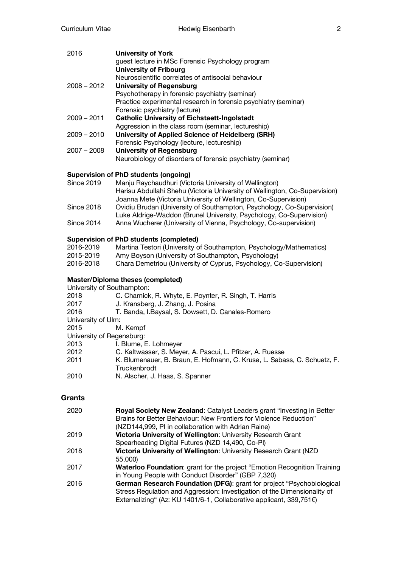| 2016          | <b>University of York</b><br>guest lecture in MSc Forensic Psychology program |
|---------------|-------------------------------------------------------------------------------|
|               | <b>University of Fribourg</b>                                                 |
|               | Neuroscientific correlates of antisocial behaviour                            |
| $2008 - 2012$ | <b>University of Regensburg</b>                                               |
|               | Psychotherapy in forensic psychiatry (seminar)                                |
|               | Practice experimental research in forensic psychiatry (seminar)               |
|               | Forensic psychiatry (lecture)                                                 |
| $2009 - 2011$ | <b>Catholic University of Eichstaett-Ingolstadt</b>                           |
|               | Aggression in the class room (seminar, lectureship)                           |
| $2009 - 2010$ | University of Applied Science of Heidelberg (SRH)                             |
|               | Forensic Psychology (lecture, lectureship)                                    |
| $2007 - 2008$ | <b>University of Regensburg</b>                                               |
|               | Neurobiology of disorders of forensic psychiatry (seminar)                    |
|               |                                                                               |

# **Supervision of PhD students (ongoing)**

| Since 2019 | Manju Raychaudhuri (Victoria University of Wellington)                     |
|------------|----------------------------------------------------------------------------|
|            | Harisu Abdullahi Shehu (Victoria University of Wellington, Co-Supervision) |
|            | Joanna Mete (Victoria University of Wellington, Co-Supervision)            |
| Since 2018 | Ovidiu Brudan (University of Southampton, Psychology, Co-Supervision)      |
|            | Luke Aldrige-Waddon (Brunel University, Psychology, Co-Supervision)        |
| Since 2014 | Anna Wucherer (University of Vienna, Psychology, Co-supervision)           |

# **Supervision of PhD students (completed)**

| 2016-2019 | Martina Testori (University of Southampton, Psychology/Mathematics) |
|-----------|---------------------------------------------------------------------|
| 2015-2019 | Amy Boyson (University of Southampton, Psychology)                  |
| 2016-2018 | Chara Demetriou (University of Cyprus, Psychology, Co-Supervision)  |

# **Master/Diploma theses (completed)**

| University of Southampton: |                                                                          |
|----------------------------|--------------------------------------------------------------------------|
| 2018                       | C. Charnick, R. Whyte, E. Poynter, R. Singh, T. Harris                   |
| 2017                       | J. Kransberg, J. Zhang, J. Posina                                        |
| 2016                       | T. Banda, I.Baysal, S. Dowsett, D. Canales-Romero                        |
| University of Ulm:         |                                                                          |
| 2015                       | M. Kempf                                                                 |
| University of Regensburg:  |                                                                          |
| 2013                       | I. Blume, E. Lohmeyer                                                    |
| 2012.                      | C. Kaltwasser, S. Meyer, A. Pascui, L. Pfitzer, A. Ruesse                |
| 2011                       | K. Blumenauer, B. Braun, E. Hofmann, C. Kruse, L. Sabass, C. Schuetz, F. |
|                            | Truckenbrodt                                                             |
| 2010                       | N. Alscher, J. Haas, S. Spanner                                          |
|                            |                                                                          |

## **Grants**

| 2020 | <b>Royal Society New Zealand: Catalyst Leaders grant "Investing in Better</b> |
|------|-------------------------------------------------------------------------------|
|      | Brains for Better Behaviour: New Frontiers for Violence Reduction"            |
|      | (NZD144,999, PI in collaboration with Adrian Raine)                           |
| 2019 | Victoria University of Wellington: University Research Grant                  |
|      | Spearheading Digital Futures (NZD 14,490, Co-PI)                              |
| 2018 | Victoria University of Wellington: University Research Grant (NZD             |
|      | 55,000)                                                                       |
| 2017 | Waterloo Foundation: grant for the project "Emotion Recognition Training      |
|      | in Young People with Conduct Disorder" (GBP 7,320)                            |
| 2016 | German Research Foundation (DFG): grant for project "Psychobiological         |
|      | Stress Regulation and Aggression: Investigation of the Dimensionality of      |
|      | Externalizing" (Az: KU 1401/6-1, Collaborative applicant, 339,751€)           |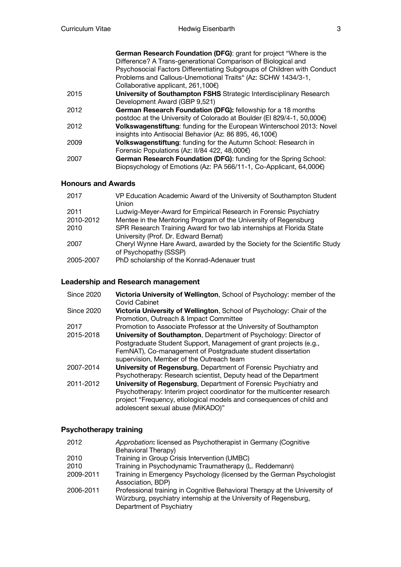|      | German Research Foundation (DFG): grant for project "Where is the<br>Difference? A Trans-generational Comparison of Biological and<br>Psychosocial Factors Differentiating Subgroups of Children with Conduct<br>Problems and Callous-Unemotional Traits" (Az: SCHW 1434/3-1,<br>Collaborative applicant, $261,100 \in$ |
|------|-------------------------------------------------------------------------------------------------------------------------------------------------------------------------------------------------------------------------------------------------------------------------------------------------------------------------|
| 2015 | University of Southampton FSHS Strategic Interdisciplinary Research                                                                                                                                                                                                                                                     |
|      | Development Award (GBP 9,521)                                                                                                                                                                                                                                                                                           |
| 2012 | German Research Foundation (DFG): fellowship for a 18 months                                                                                                                                                                                                                                                            |
|      | postdoc at the University of Colorado at Boulder (EI 829/4-1, 50,000€)                                                                                                                                                                                                                                                  |
| 2012 | Volkswagenstiftung: funding for the European Winterschool 2013: Novel                                                                                                                                                                                                                                                   |
|      | insights into Antisocial Behavior (Az: 86 895, 46,100€)                                                                                                                                                                                                                                                                 |
| 2009 | Volkswagenstiftung: funding for the Autumn School: Research in                                                                                                                                                                                                                                                          |
|      | Forensic Populations (Az: II/84 422, 48,000€)                                                                                                                                                                                                                                                                           |
| 2007 | German Research Foundation (DFG): funding for the Spring School:                                                                                                                                                                                                                                                        |
|      | Biopsychology of Emotions (Az: PA 566/11-1, Co-Applicant, 64,000€)                                                                                                                                                                                                                                                      |

## **Honours and Awards**

| 2017      | VP Education Academic Award of the University of Southampton Student<br>Union                                |
|-----------|--------------------------------------------------------------------------------------------------------------|
| 2011      | Ludwig-Meyer-Award for Empirical Research in Forensic Psychiatry                                             |
| 2010-2012 | Mentee in the Mentoring Program of the University of Regensburg                                              |
| 2010      | SPR Research Training Award for two lab internships at Florida State<br>University (Prof. Dr. Edward Bernat) |
| 2007      | Cheryl Wynne Hare Award, awarded by the Society for the Scientific Study<br>of Psychopathy (SSSP)            |
| 2005-2007 | PhD scholarship of the Konrad-Adenauer trust                                                                 |

# **Leadership and Research management**

| <b>Since 2020</b> | Victoria University of Wellington, School of Psychology: member of the<br>Covid Cabinet |
|-------------------|-----------------------------------------------------------------------------------------|
| <b>Since 2020</b> | Victoria University of Wellington, School of Psychology: Chair of the                   |
|                   | Promotion, Outreach & Impact Committee                                                  |
| 2017              | Promotion to Associate Professor at the University of Southampton                       |
| 2015-2018         | University of Southampton, Department of Psychology: Director of                        |
|                   | Postgraduate Student Support, Management of grant projects (e.g.,                       |
|                   | FemNAT), Co-management of Postgraduate student dissertation                             |
|                   | supervision, Member of the Outreach team                                                |
| 2007-2014         | University of Regensburg, Department of Forensic Psychiatry and                         |
|                   | Psychotherapy: Research scientist, Deputy head of the Department                        |
| 2011-2012         | University of Regensburg, Department of Forensic Psychiatry and                         |
|                   | Psychotherapy: Interim project coordinator for the multicenter research                 |
|                   | project "Frequency, etiological models and consequences of child and                    |
|                   | adolescent sexual abuse (MiKADO)"                                                       |

# **Psychotherapy training**

| 2012      | Approbation: licensed as Psychotherapist in Germany (Cognitive<br>Behavioral Therapy)                                                                                      |
|-----------|----------------------------------------------------------------------------------------------------------------------------------------------------------------------------|
| 2010      | Training in Group Crisis Intervention (UMBC)                                                                                                                               |
| 2010      | Training in Psychodynamic Traumatherapy (L. Reddemann)                                                                                                                     |
| 2009-2011 | Training in Emergency Psychology (licensed by the German Psychologist<br>Association, BDP)                                                                                 |
| 2006-2011 | Professional training in Cognitive Behavioral Therapy at the University of<br>Würzburg, psychiatry internship at the University of Regensburg,<br>Department of Psychiatry |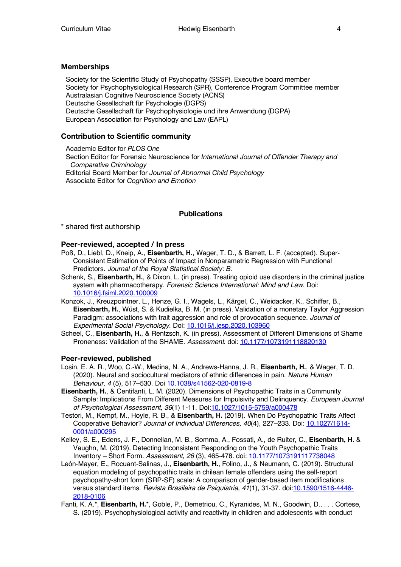#### **Memberships**

Society for the Scientific Study of Psychopathy (SSSP), Executive board member Society for Psychophysiological Research (SPR), Conference Program Committee member Australasian Cognitive Neuroscience Society (ACNS) Deutsche Gesellschaft für Psychologie (DGPS) Deutsche Gesellschaft für Psychophysiologie und ihre Anwendung (DGPA) European Association for Psychology and Law (EAPL)

#### **Contribution to Scientific community**

Academic Editor for *PLOS One* Section Editor for Forensic Neuroscience for *International Journal of Offender Therapy and Comparative Criminology* Editorial Board Member for *Journal of Abnormal Child Psychology* Associate Editor for *Cognition and Emotion*

#### **Publications**

\* shared first authorship

#### **Peer-reviewed, accepted / In press**

- Poß, D., Liebl, D., Kneip, A., **Eisenbarth, H.**, Wager, T. D., & Barrett, L. F. (accepted). Super-Consistent Estimation of Points of Impact in Nonparametric Regression with Functional Predictors. *Journal of the Royal Statistical Society: B.*
- Schenk, S., **Eisenbarth, H.**, & Dixon, L. (in press). Treating opioid use disorders in the criminal justice system with pharmacotherapy. *Forensic Science International: Mind and Law*. Doi: 10.1016/j.fsiml.2020.100009
- Konzok, J., Kreuzpointner, L., Henze, G. I., Wagels, L., Kärgel, C., Weidacker, K., Schiffer, B., **Eisenbarth, H.**, Wüst, S. & Kudielka, B. M. (in press). Validation of a monetary Taylor Aggression Paradigm: associations with trait aggression and role of provocation sequence. *Journal of Experimental Social Psychology*. Doi: 10.1016/j.jesp.2020.103960
- Scheel, C., **Eisenbarth, H.**, & Rentzsch, K. (in press). Assessment of Different Dimensions of Shame Proneness: Validation of the SHAME. *Assessment*. doi: 10.1177/1073191118820130

#### **Peer-reviewed, published**

- Losin, E. A. R., Woo, C.-W., Medina, N. A., Andrews-Hanna, J. R., **Eisenbarth, H.**, & Wager, T. D. (2020). Neural and sociocultural mediators of ethnic differences in pain. *Nature Human Behaviour, 4* (5), 517–530. Doi 10.1038/s41562-020-0819-8
- **Eisenbarth, H.**, & Centifanti, L. M. (2020). Dimensions of Psychopathic Traits in a Community Sample: Implications From Different Measures for Impulsivity and Delinquency. *European Journal of Psychological Assessment, 36*(1) 1-11. Doi:10.1027/1015-5759/a000478
- Testori, M., Kempf, M., Hoyle, R. B., & **Eisenbarth, H.** (2019). When Do Psychopathic Traits Affect Cooperative Behavior? *Journal of Individual Differences, 40*(4), 227–233. Doi: 10.1027/1614- 0001/a000295
- Kelley, S. E., Edens, J. F., Donnellan, M. B., Somma, A., Fossati, A., de Ruiter, C., **Eisenbarth, H**. & Vaughn, M. (2019). Detecting Inconsistent Responding on the Youth Psychopathic Traits Inventory – Short Form. *Assessment, 26* (3), 465-478. doi: 10.1177/1073191117738048
- León-Mayer, E., Rocuant-Salinas, J., **Eisenbarth, H.**, Folino, J., & Neumann, C. (2019). Structural equation modeling of psychopathic traits in chilean female offenders using the self-report psychopathy-short form (SRP-SF) scale: A comparison of gender-based item modifications versus standard items. *Revista Brasileira de Psiquiatria*, *41*(1), 31-37. doi:10.1590/1516-4446- 2018-0106
- Fanti, K. A.\*, **Eisenbarth, H.**\*, Goble, P., Demetriou, C., Kyranides, M. N., Goodwin, D., . . . Cortese, S. (2019). Psychophysiological activity and reactivity in children and adolescents with conduct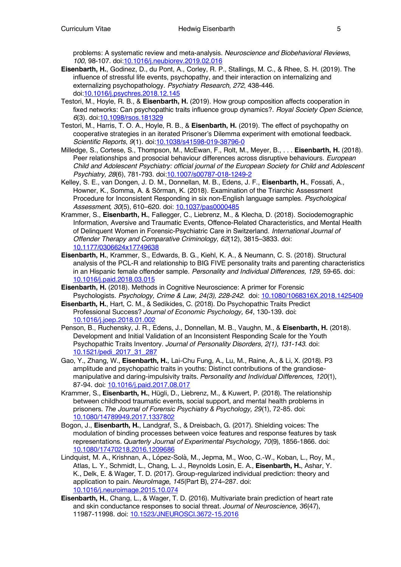problems: A systematic review and meta-analysis. *Neuroscience and Biobehavioral Reviews*, *100*, 98-107. doi:10.1016/j.neubiorev.2019.02.016

- **Eisenbarth, H.**, Godinez, D., du Pont, A., Corley, R. P., Stallings, M. C., & Rhee, S. H. (2019). The influence of stressful life events, psychopathy, and their interaction on internalizing and externalizing psychopathology. *Psychiatry Research*, *272*, 438-446. doi:10.1016/j.psychres.2018.12.145
- Testori, M., Hoyle, R. B., & **Eisenbarth, H.** (2019). How group composition affects cooperation in fixed networks: Can psychopathic traits influence group dynamics?. *Royal Society Open Science*, *6*(3). doi:10.1098/rsos.181329
- Testori, M., Harris, T. O. A., Hoyle, R. B., & **Eisenbarth, H.** (2019). The effect of psychopathy on cooperative strategies in an iterated Prisoner's Dilemma experiment with emotional feedback. *Scientific Reports*, *9*(1). doi:10.1038/s41598-019-38796-0
- Milledge, S., Cortese, S., Thompson, M., McEwan, F., Rolt, M., Meyer, B., . . . **Eisenbarth, H.** (2018). Peer relationships and prosocial behaviour differences across disruptive behaviours. *European Child and Adolescent Psychiatry: official journal of the European Society for Child and Adolescent Psychiatry, 28*(6), 781-793. doi:10.1007/s00787-018-1249-2
- Kelley, S. E., van Dongen, J. D. M., Donnellan, M. B., Edens, J. F., **Eisenbarth, H.**, Fossati, A., Howner, K., Somma, A. & Sörman, K. (2018). Examination of the Triarchic Assessment Procedure for Inconsistent Responding in six non-English language samples. *Psychological Assessment, 30*(5), 610–620. doi: 10.1037/pas0000485
- Krammer, S., **Eisenbarth, H.**, Fallegger, C., Liebrenz, M., & Klecha, D. (2018). Sociodemographic Information, Aversive and Traumatic Events, Offence-Related Characteristics, and Mental Health of Delinquent Women in Forensic-Psychiatric Care in Switzerland. *International Journal of Offender Therapy and Comparative Criminology*, *62*(12), 3815–3833. doi: 10.1177/0306624x17749638
- **Eisenbarth, H.**, Krammer, S., Edwards, B. G., Kiehl, K. A., & Neumann, C. S. (2018). Structural analysis of the PCL-R and relationship to BIG FIVE personality traits and parenting characteristics in an Hispanic female offender sample. *Personality and Individual Differences, 129*, 59-65. doi: 10.1016/j.paid.2018.03.015
- **Eisenbarth, H.** (2018). Methods in Cognitive Neuroscience: A primer for Forensic Psychologists. *Psychology, Crime & Law, 24(3), 228-242.* doi: 10.1080/1068316X.2018.1425409
- **Eisenbarth, H.**, Hart, C. M., & Sedikides, C. (2018). Do Psychopathic Traits Predict Professional Success? *Journal of Economic Psychology, 64*, 130-139. doi: 10.1016/j.joep.2018.01.002
- Penson, B., Ruchensky, J. R., Edens, J., Donnellan, M. B., Vaughn, M., & **Eisenbarth, H.** (2018). Development and Initial Validation of an Inconsistent Responding Scale for the Youth Psychopathic Traits Inventory. *Journal of Personality Disorders, 2(1), 131-143*. doi: 10.1521/pedi\_2017\_31\_287
- Gao, Y., Zhang, W., **Eisenbarth, H.**, Lai-Chu Fung, A., Lu, M., Raine, A., & Li, X. (2018). P3 amplitude and psychopathic traits in youths: Distinct contributions of the grandiosemanipulative and daring-impulsivity traits. *Personality and Individual Differences, 120*(1), 87-94. doi: 10.1016/j.paid.2017.08.017
- Krammer, S., **Eisenbarth, H.**, Hügli, D., Liebrenz, M., & Kuwert, P. (2018). The relationship between childhood traumatic events, social support, and mental health problems in prisoners. *The Journal of Forensic Psychiatry & Psychology, 29*(1), 72-85. doi: 10.1080/14789949.2017.1337802
- Bogon, J., **Eisenbarth, H.**, Landgraf, S., & Dreisbach, G. (2017). Shielding voices: The modulation of binding processes between voice features and response features by task representations. *Quarterly Journal of Experimental Psychology, 70*(9), 1856-1866. doi: 10.1080/17470218.2016.1209686
- Lindquist, M. A., Krishnan, A., López-Solà, M., Jepma, M., Woo, C.-W., Koban, L., Roy, M., Atlas, L. Y., Schmidt, L., Chang, L. J., Reynolds Losin, E. A., **Eisenbarth, H.**, Ashar, Y. K., Delk, E. & Wager, T. D. (2017). Group-regularized individual prediction: theory and application to pain. *NeuroImage, 145*(Part B), 274–287. doi: 10.1016/j.neuroimage.2015.10.074
- **Eisenbarth, H.**, Chang, L., & Wager, T. D. (2016). Multivariate brain prediction of heart rate and skin conductance responses to social threat. *Journal of Neuroscience, 36*(47), 11987-11998. doi: 10.1523/JNEUROSCI.3672-15.2016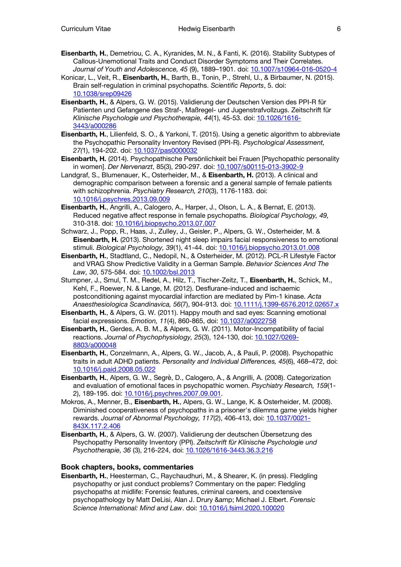- **Eisenbarth, H.**, Demetriou, C. A., Kyranides, M. N., & Fanti, K. (2016). Stability Subtypes of Callous-Unemotional Traits and Conduct Disorder Symptoms and Their Correlates. *Journal of Youth and Adolescence, 45* (9), 1889–1901. doi: 10.1007/s10964-016-0520-4
- Konicar, L., Veit, R., **Eisenbarth, H.**, Barth, B., Tonin, P., Strehl, U., & Birbaumer, N. (2015). Brain self-regulation in criminal psychopaths. *Scientific Reports*, 5. doi: 10.1038/srep09426
- **Eisenbarth, H.**, & Alpers, G. W. (2015). Validierung der Deutschen Version des PPI-R für Patienten und Gefangene des Straf-, Maßregel- und Jugenstrafvollzugs. Zeitschrift für *Klinische Psychologie und Psychotherapie, 44*(1), 45-53. doi: 10.1026/1616- 3443/a000286
- **Eisenbarth, H.**, Lilienfeld, S. O., & Yarkoni, T. (2015). Using a genetic algorithm to abbreviate the Psychopathic Personality Inventory Revised (PPI-R). *Psychological Assessment, 27(*1), 194-202. doi: 10.1037/pas0000032
- **Eisenbarth, H.** (2014). Psychopathische Persönlichkeit bei Frauen [Psychopathic personality in women]. *Der Nervenarzt*, 85(3), 290-297. doi: 10.1007/s00115-013-3902-9
- Landgraf, S., Blumenauer, K., Osterheider, M., & **Eisenbarth, H.** (2013). A clinical and demographic comparison between a forensic and a general sample of female patients with schizophrenia. *Psychiatry Research, 210*(3), 1176-1183. doi: 10.1016/j.psychres.2013.09.009
- **Eisenbarth, H.**, Angrilli, A., Calogero, A., Harper, J., Olson, L. A., & Bernat, E. (2013). Reduced negative affect response in female psychopaths. *Biological Psychology, 49,*  310-318. doi: 10.1016/j.biopsycho.2013.07.007
- Schwarz, J., Popp, R., Haas, J., Zulley, J., Geisler, P., Alpers, G. W., Osterheider, M. & **Eisenbarth, H.** (2013). Shortened night sleep impairs facial responsiveness to emotional stimuli. *Biological Psychology, 39*(1), 41-44. doi: 10.1016/j.biopsycho.2013.01.008
- **Eisenbarth, H.**, Stadtland, C., Nedopil, N., & Osterheider, M. (2012). PCL-R Lifestyle Factor and VRAG Show Predictive Validity in a German Sample. *Behavior Sciences And The Law, 30*, 575-584. doi: 10.1002/bsl.2013
- Stumpner, J., Smul, T. M., Redel, A., Hilz, T., Tischer-Zeitz, T., **Eisenbarth, H.**, Schick, M., Kehl, F., Roewer, N. & Lange, M. (2012). Desflurane-induced and ischaemic postconditioning against myocardial infarction are mediated by Pim-1 kinase. *Acta Anaesthesiologica Scandinavica, 56*(7), 904-913. doi: 10.1111/j.1399-6576.2012.02657.x
- **Eisenbarth, H.**, & Alpers, G. W. (2011). Happy mouth and sad eyes: Scanning emotional facial expressions. *Emotion, 11*(4), 860-865, doi: 10.1037/a0022758
- **Eisenbarth, H.**, Gerdes, A. B. M., & Alpers, G. W. (2011). Motor-Incompatibility of facial reactions. *Journal of Psychophysiology, 25*(3), 124-130, doi: 10.1027/0269- 8803/a000048
- **Eisenbarth, H.**, Conzelmann, A., Alpers, G. W., Jacob, A., & Pauli, P. (2008). Psychopathic traits in adult ADHD patients. *Personality and Individual Differences, 45*(6), 468–472, doi: 10.1016/j.paid.2008.05.022
- **Eisenbarth, H.**, Alpers, G. W., Segrè, D., Calogero, A., & Angrilli, A. (2008). Categorization and evaluation of emotional faces in psychopathic women. *Psychiatry Research, 159*(1- 2), 189-195. doi: 10.1016/j.psychres.2007.09.001.
- Mokros, A., Menner, B., **Eisenbarth, H.**, Alpers, G. W., Lange, K. & Osterheider, M. (2008). Diminished cooperativeness of psychopaths in a prisoner's dilemma game yields higher rewards. *Journal of Abnormal Psychology, 117*(2), 406-413, doi: 10.1037/0021- 843X.117.2.406
- **Eisenbarth, H.**, & Alpers, G. W. (2007). Validierung der deutschen Übersetzung des Psychopathy Personality Inventory (PPI). *Zeitschrift für Klinische Psychologie und Psychotherapie, 36* (3), 216-224, doi: 10.1026/1616-3443.36.3.216

#### **Book chapters, books, commentaries**

**Eisenbarth, H.**, Heesterman, C., Raychaudhuri, M., & Shearer, K. (in press). Fledgling psychopathy or just conduct problems? Commentary on the paper: Fledgling psychopaths at midlife: Forensic features, criminal careers, and coextensive psychopathology by Matt DeLisi, Alan J. Drury & Michael J. Elbert. *Forensic Science International: Mind and Law*. doi: 10.1016/j.fsiml.2020.100020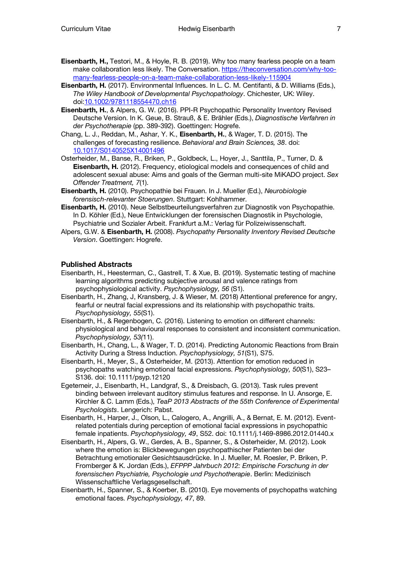- **Eisenbarth, H.,** Testori, M., & Hoyle, R. B. (2019). Why too many fearless people on a team make collaboration less likely. The Conversation. https://theconversation.com/why-toomany-fearless-people-on-a-team-make-collaboration-less-likely-115904
- **Eisenbarth, H.** (2017). Environmental Influences. In L. C. M. Centifanti, & D. Williams (Eds.), *The Wiley Handbook of Developmental Psychopathology*. Chichester, UK: Wiley. doi:10.1002/9781118554470.ch16
- **Eisenbarth, H.**, & Alpers, G. W. (2016). PPI-R Psychopathic Personality Inventory Revised Deutsche Version. In K. Geue, B. Strauß, & E. Brähler (Eds.), *Diagnostische Verfahren in der Psychotherapie* (pp. 389-392). Goettingen: Hogrefe.
- Chang, L. J., Reddan, M., Ashar, Y. K., **Eisenbarth, H.**, & Wager, T. D. (2015). The challenges of forecasting resilience. *Behavioral and Brain Sciences, 38*. doi: 10.1017/S0140525X14001496
- Osterheider, M., Banse, R., Briken, P., Goldbeck, L., Hoyer, J., Santtila, P., Turner, D. & **Eisenbarth, H.** (2012). Frequency, etiological models and consequences of child and adolescent sexual abuse: Aims and goals of the German multi-site MiKADO project. *Sex Offender Treatment, 7*(1).
- **Eisenbarth, H.** (2010). Psychopathie bei Frauen. In J. Mueller (Ed.), *Neurobiologie forensisch-relevanter Stoerungen*. Stuttgart: Kohlhammer.
- **Eisenbarth, H.** (2010). Neue Selbstbeurteilungsverfahren zur Diagnostik von Psychopathie. In D. Köhler (Ed.), Neue Entwicklungen der forensischen Diagnostik in Psychologie, Psychiatrie und Sozialer Arbeit. Frankfurt a.M.: Verlag für Polizeiwissenschaft.
- Alpers, G.W. & **Eisenbarth, H.** (2008). *Psychopathy Personality Inventory Revised Deutsche Version*. Goettingen: Hogrefe.

#### **Published Abstracts**

- Eisenbarth, H., Heesterman, C., Gastrell, T. & Xue, B. (2019). Systematic testing of machine learning algorithms predicting subjective arousal and valence ratings from psychophysiological activity. *Psychophysiology, 56* (S1).
- Eisenbarth, H., Zhang, J, Kransberg, J. & Wieser, M. (2018) Attentional preference for angry, fearful or neutral facial expressions and its relationship with psychopathic traits. *Psychophysiology, 55*(S1).
- Eisenbarth, H., & Regenbogen, C. (2016). Listening to emotion on different channels: physiological and behavioural responses to consistent and inconsistent communication. *Psychophysiology, 53(*11).
- Eisenbarth, H., Chang, L., & Wager, T. D. (2014). Predicting Autonomic Reactions from Brain Activity During a Stress Induction. *Psychophysiology, 51*(S1), S75.
- Eisenbarth, H., Meyer, S., & Osterheider, M. (2013). Attention for emotion reduced in psychopaths watching emotional facial expressions. *Psychophysiology, 50*(S1), S23– S136. doi: 10.1111/psyp.12120
- Egetemeir, J., Eisenbarth, H., Landgraf, S., & Dreisbach, G. (2013). Task rules prevent binding between irrelevant auditory stimulus features and response. In U. Ansorge, E. Kirchler & C. Lamm (Eds.), *TeaP 2013 Abstracts of the 55th Conference of Experimental Psychologists*. Lengerich: Pabst.
- Eisenbarth, H., Harper, J., Olson, L., Calogero, A., Angrilli, A., & Bernat, E. M. (2012). Eventrelated potentials during perception of emotional facial expressions in psychopathic female inpatients. *Psychophysiology, 49*, S52. doi: 10.1111/j.1469-8986.2012.01440.x
- Eisenbarth, H., Alpers, G. W., Gerdes, A. B., Spanner, S., & Osterheider, M. (2012). Look where the emotion is: Blickbewegungen psychopathischer Patienten bei der Betrachtung emotionaler Gesichtsausdrücke. In J. Mueller, M. Roesler, P. Briken, P. Fromberger & K. Jordan (Eds.), *EFPPP Jahrbuch 2012: Empirische Forschung in der forensischen Psychiatrie, Psychologie und Psychotherapie*. Berlin: Medizinisch Wissenschaftliche Verlagsgesellschaft.
- Eisenbarth, H., Spanner, S., & Koerber, B. (2010). Eye movements of psychopaths watching emotional faces. *Psychophysiology, 47*, 89.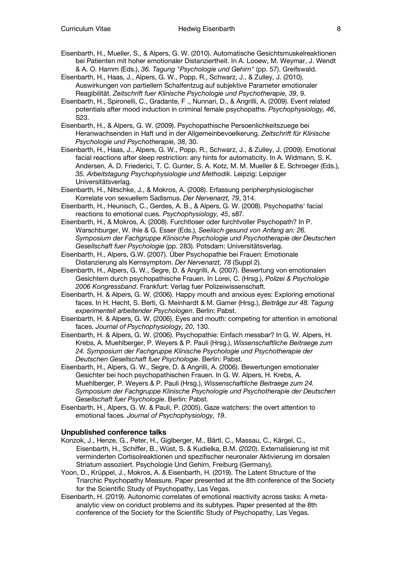- Eisenbarth, H., Mueller, S., & Alpers, G. W. (2010). Automatische Gesichtsmuskelreaktionen bei Patienten mit hoher emotionaler Distanziertheit. In A. Looew, M. Weymar, J. Wendt & A. O. Hamm (Eds.), *36. Tagung "Psychologie und Gehirn"* (pp. 57). Greifswald.
- Eisenbarth, H., Haas, J., Alpers, G. W., Popp, R., Schwarz, J., & Zulley, J. (2010). Auswirkungen von partiellem Schalfentzug auf subjektive Parameter emotionaler Reagibilität. *Zeitschrift fuer Klinische Psychologie und Psychotherapie, 39*, 9.
- Eisenbarth, H., Spironelli, C., Gradante, F ., Nunnari, D., & Angrilli, A. (2009). Event related potentials after mood induction in criminal female psychopaths. *Psychophysiology, 46*, S23.
- Eisenbarth, H., & Alpers, G. W. (2009). Psychopathische Persoenlichkeitszuege bei Heranwachsenden in Haft und in der Allgemeinbevoelkerung. *Zeitschrift für Klinische Psychologie und Psychotherapie, 38*, 30.
- Eisenbarth, H., Haas, J., Alpers, G. W., Popp, R., Schwarz, J., & Zulley, J. (2009). Emotional facial reactions after sleep restriction: any hints for automaticity. In A. Widmann, S. K. Andersen, A. D. Friederici, T. C. Gunter, S. A. Kotz, M. M. Mueller & E. Schroeger (Eds.), *35. Arbeitstagung Psychophysiologie und Methodik*. Leipzig: Leipziger Universitätsverlag.
- Eisenbarth, H., Nitschke, J., & Mokros, A. (2008). Erfassung peripherphysiologischer Korrelate von sexuellem Sadismus. *Der Nervenarzt, 79*, 314.
- Eisenbarth, H., Heunisch, C., Gerdes, A. B., & Alpers, G. W. (2008). Psychopaths' facial reactions to emotional cues. *Psychophysiology, 45*, s87.
- Eisenbarth, H., & Mokros, A. (2008). Furchtloser oder furchtvoller Psychopath? In P. Warschburger, W. Ihle & G. Esser (Eds.), *Seelisch gesund von Anfang an: 26. Symposium der Fachgruppe Klinische Psychologie und Psychotherapie der Deutschen Gesellschaft fuer Psychologie* (pp. 283). Potsdam: Universitätsverlag.
- Eisenbarth, H., Alpers, G.W. (2007). Über Psychopathie bei Frauen: Emotionale Distanzierung als Kernsymptom. *Der Nervenarzt, 78* (Suppl 2).
- Eisenbarth, H., Alpers, G. W., Segre, D. & Angrilli, A. (2007). Bewertung von emotionalen Gesichtern durch psychopathische Frauen. In Lorei, C. (Hrsg.), *Polizei & Psychologie 2006 Kongressband*. Frankfurt: Verlag fuer Polizeiwissenschaft.
- Eisenbarth, H. & Alpers, G. W. (2006). Happy mouth and anxious eyes: Exploring emotional faces. In H. Hecht, S. Berti, G. Meinhardt & M. Gamer (Hrsg.), *Beiträge zur 48. Tagung experimentell arbeitender Psychologen*. Berlin: Pabst.
- Eisenbarth, H. & Alpers, G. W. (2006). Eyes and mouth: competing for attention in emotional faces. *Journal of Psychophysiology, 20*, 130.
- Eisenbarth, H. & Alpers, G. W. (2006). Psychopathie: Einfach messbar? In G. W. Alpers, H. Krebs, A. Muehlberger, P. Weyers & P. Pauli (Hrsg.), *Wissenschaftliche Beitraege zum 24. Symposium der Fachgruppe Klinische Psychologie und Psychotherapie der Deutschen Gesellschaft fuer Psychologie*. Berlin: Pabst.
- Eisenbarth, H., Alpers, G. W., Segre, D. & Angrilli, A. (2006). Bewertungen emotionaler Gesichter bei hoch psychopathischen Frauen. In G. W. Alpers, H. Krebs, A. Muehlberger, P. Weyers & P. Pauli (Hrsg.), *Wissenschaftliche Beitraege zum 24. Symposium der Fachgruppe Klinische Psychologie und Psychotherapie der Deutschen Gesellschaft fuer Psychologie*. Berlin: Pabst.
- Eisenbarth, H., Alpers, G. W. & Pauli, P. (2005). Gaze watchers: the overt attention to emotional faces. *Journal of Psychophysiology, 19*.

#### **Unpublished conference talks**

- Konzok, J., Henze, G., Peter, H., Giglberger, M., Bärtl, C., Massau, C., Kärgel, C., Eisenbarth, H., Schiffer, B., Wüst, S. & Kudielka, B.M. (2020). Externalisierung ist mit verminderten Cortisolreaktionen und spezifischer neuronaler Aktivierung im dorsalen Striatum assoziiert. Psychologie Und Gehirn, Freiburg (Germany).
- Yoon, D., Krüppel, J., Mokros, A. & Eisenbarth, H. (2019). The Latent Structure of the Triarchic Psychopathy Measure. Paper presented at the 8th conference of the Society for the Scientific Study of Psychopathy, Las Vegas.
- Eisenbarth, H. (2019). Autonomic correlates of emotional reactivity across tasks: A metaanalytic view on conduct problems and its subtypes. Paper presented at the 8th conference of the Society for the Scientific Study of Psychopathy, Las Vegas.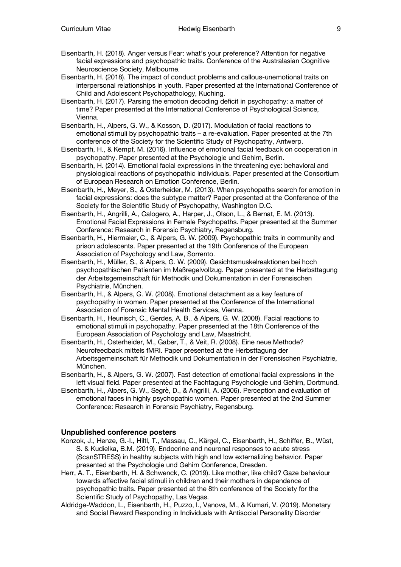- Eisenbarth, H. (2018). Anger versus Fear: what's your preference? Attention for negative facial expressions and psychopathic traits. Conference of the Australasian Cognitive Neuroscience Society, Melbourne.
- Eisenbarth, H. (2018). The impact of conduct problems and callous-unemotional traits on interpersonal relationships in youth. Paper presented at the International Conference of Child and Adolescent Psychopathology, Kuching.
- Eisenbarth, H. (2017). Parsing the emotion decoding deficit in psychopathy: a matter of time? Paper presented at the International Conference of Psychological Science, Vienna.
- Eisenbarth, H., Alpers, G. W., & Kosson, D. (2017). Modulation of facial reactions to emotional stimuli by psychopathic traits – a re-evaluation. Paper presented at the 7th conference of the Society for the Scientific Study of Psychopathy, Antwerp.
- Eisenbarth, H., & Kempf, M. (2016). Influence of emotional facial feedback on cooperation in psychopathy. Paper presented at the Psychologie und Gehirn, Berlin.
- Eisenbarth, H. (2014). Emotional facial expressions in the threatening eye: behavioral and physiological reactions of psychopathic individuals. Paper presented at the Consortium of European Research on Emotion Conference, Berlin.
- Eisenbarth, H., Meyer, S., & Osterheider, M. (2013). When psychopaths search for emotion in facial expressions: does the subtype matter? Paper presented at the Conference of the Society for the Scientific Study of Psychopathy, Washington D.C.
- Eisenbarth, H., Angrilli, A., Calogero, A., Harper, J., Olson, L., & Bernat, E. M. (2013). Emotional Facial Expressions in Female Psychopaths. Paper presented at the Summer Conference: Research in Forensic Psychiatry, Regensburg.
- Eisenbarth, H., Hiermaier, C., & Alpers, G. W. (2009). Psychopathic traits in community and prison adolescents. Paper presented at the 19th Conference of the European Association of Psychology and Law, Sorrento.
- Eisenbarth, H., Müller, S., & Alpers, G. W. (2009). Gesichtsmuskelreaktionen bei hoch psychopathischen Patienten im Maßregelvollzug. Paper presented at the Herbsttagung der Arbeitsgemeinschaft für Methodik und Dokumentation in der Forensischen Psychiatrie, München.
- Eisenbarth, H., & Alpers, G. W. (2008). Emotional detachment as a key feature of psychopathy in women. Paper presented at the Conference of the International Association of Forensic Mental Health Services, Vienna.
- Eisenbarth, H., Heunisch, C., Gerdes, A. B., & Alpers, G. W. (2008). Facial reactions to emotional stimuli in psychopathy. Paper presented at the 18th Conference of the European Association of Psychology and Law, Maastricht.
- Eisenbarth, H., Osterheider, M., Gaber, T., & Veit, R. (2008). Eine neue Methode? Neurofeedback mittels fMRI. Paper presented at the Herbsttagung der Arbeitsgemeinschaft für Methodik und Dokumentation in der Forensischen Psychiatrie, München.
- Eisenbarth, H., & Alpers, G. W. (2007). Fast detection of emotional facial expressions in the left visual field. Paper presented at the Fachtagung Psychologie und Gehirn, Dortmund.
- Eisenbarth, H., Alpers, G. W., Segrè, D., & Angrilli, A. (2006). Perception and evaluation of emotional faces in highly psychopathic women. Paper presented at the 2nd Summer Conference: Research in Forensic Psychiatry, Regensburg.

#### **Unpublished conference posters**

- Konzok, J., Henze, G.-I., Hiltl, T., Massau, C., Kärgel, C., Eisenbarth, H., Schiffer, B., Wüst, S. & Kudielka, B.M. (2019). Endocrine and neuronal responses to acute stress (ScanSTRESS) in healthy subjects with high and low externalizing behavior. Paper presented at the Psychologie und Gehirn Conference, Dresden.
- Herr, A. T., Eisenbarth, H. & Schwenck, C. (2019). Like mother, like child? Gaze behaviour towards affective facial stimuli in children and their mothers in dependence of psychopathic traits. Paper presented at the 8th conference of the Society for the Scientific Study of Psychopathy, Las Vegas.
- Aldridge-Waddon, L., Eisenbarth, H., Puzzo, I., Vanova, M., & Kumari, V. (2019). Monetary and Social Reward Responding in Individuals with Antisocial Personality Disorder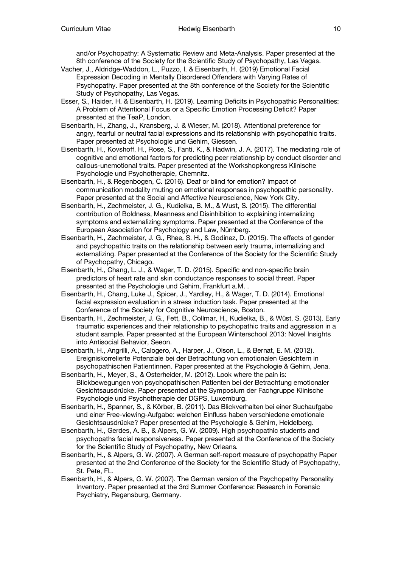and/or Psychopathy: A Systematic Review and Meta-Analysis. Paper presented at the 8th conference of the Society for the Scientific Study of Psychopathy, Las Vegas.

- Vacher, J., Aldridge-Waddon, L., Puzzo, I. & Eisenbarth, H. (2019) Emotional Facial Expression Decoding in Mentally Disordered Offenders with Varying Rates of Psychopathy. Paper presented at the 8th conference of the Society for the Scientific Study of Psychopathy, Las Vegas.
- Esser, S., Haider, H. & Eisenbarth, H. (2019). Learning Deficits in Psychopathic Personalities: A Problem of Attentional Focus or a Specific Emotion Processing Deficit? Paper presented at the TeaP, London.
- Eisenbarth, H., Zhang, J., Kransberg, J. & Wieser, M. (2018). Attentional preference for angry, fearful or neutral facial expressions and its relationship with psychopathic traits. Paper presented at Psychologie und Gehirn, Giessen.
- Eisenbarth, H., Kovshoff, H., Rose, S., Fanti, K., & Hadwin, J. A. (2017). The mediating role of cognitive and emotional factors for predicting peer relationship by conduct disorder and callous-unemotional traits. Paper presented at the Workshopkongress Klinische Psychologie und Psychotherapie, Chemnitz.
- Eisenbarth, H., & Regenbogen, C. (2016). Deaf or blind for emotion? Impact of communication modality muting on emotional responses in psychopathic personality. Paper presented at the Social and Affective Neuroscience, New York City.
- Eisenbarth, H., Zechmeister, J. G., Kudielka, B. M., & Wust, S. (2015). The differential contribution of Boldness, Meanness and Disinhibition to explaining internalizing symptoms and externalizing symptoms. Paper presented at the Conference of the European Association for Psychology and Law, Nürnberg.
- Eisenbarth, H., Zechmeister, J. G., Rhee, S. H., & Godinez, D. (2015). The effects of gender and psychopathic traits on the relationship between early trauma, internalizing and externalizing. Paper presented at the Conference of the Society for the Scientific Study of Psychopathy, Chicago.
- Eisenbarth, H., Chang, L. J., & Wager, T. D. (2015). Specific and non-specific brain predictors of heart rate and skin conductance responses to social threat. Paper presented at the Psychologie und Gehirn, Frankfurt a.M. .
- Eisenbarth, H., Chang, Luke J., Spicer, J., Yardley, H., & Wager, T. D. (2014). Emotional facial expression evaluation in a stress induction task. Paper presented at the Conference of the Society for Cognitive Neuroscience, Boston.
- Eisenbarth, H., Zechmeister, J. G., Fett, B., Collmar, H., Kudielka, B., & Wüst, S. (2013). Early traumatic experiences and their relationship to psychopathic traits and aggression in a student sample. Paper presented at the European Winterschool 2013: Novel Insights into Antisocial Behavior, Seeon.
- Eisenbarth, H., Angrilli, A., Calogero, A., Harper, J., Olson, L., & Bernat, E. M. (2012). Ereigniskorrelierte Potenziale bei der Betrachtung von emotionalen Gesichtern in psychopathischen Patientinnen. Paper presented at the Psychologie & Gehirn, Jena.
- Eisenbarth, H., Meyer, S., & Osterheider, M. (2012). Look where the pain is: Blickbewegungen von psychopathischen Patienten bei der Betrachtung emotionaler Gesichtsausdrücke. Paper presented at the Symposium der Fachgruppe Klinische Psychologie und Psychotherapie der DGPS, Luxemburg.
- Eisenbarth, H., Spanner, S., & Körber, B. (2011). Das Blickverhalten bei einer Suchaufgabe und einer Free-viewing-Aufgabe: welchen Einfluss haben verschiedene emotionale Gesichtsausdrücke? Paper presented at the Psychologie & Gehirn, Heidelberg.
- Eisenbarth, H., Gerdes, A. B., & Alpers, G. W. (2009). High psychopathic students and psychopaths facial responsiveness. Paper presented at the Conference of the Society for the Scientific Study of Psychopathy, New Orleans.
- Eisenbarth, H., & Alpers, G. W. (2007). A German self-report measure of psychopathy Paper presented at the 2nd Conference of the Society for the Scientific Study of Psychopathy, St. Pete, FL.
- Eisenbarth, H., & Alpers, G. W. (2007). The German version of the Psychopathy Personality Inventory. Paper presented at the 3rd Summer Conference: Research in Forensic Psychiatry, Regensburg, Germany.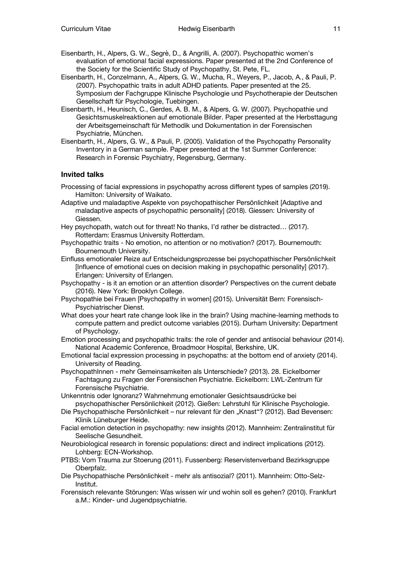- Eisenbarth, H., Alpers, G. W., Segrè, D., & Angrilli, A. (2007). Psychopathic women's evaluation of emotional facial expressions. Paper presented at the 2nd Conference of the Society for the Scientific Study of Psychopathy, St. Pete, FL.
- Eisenbarth, H., Conzelmann, A., Alpers, G. W., Mucha, R., Weyers, P., Jacob, A., & Pauli, P. (2007). Psychopathic traits in adult ADHD patients. Paper presented at the 25. Symposium der Fachgruppe Klinische Psychologie und Psychotherapie der Deutschen Gesellschaft für Psychologie, Tuebingen.
- Eisenbarth, H., Heunisch, C., Gerdes, A. B. M., & Alpers, G. W. (2007). Psychopathie und Gesichtsmuskelreaktionen auf emotionale Bilder. Paper presented at the Herbsttagung der Arbeitsgemeinschaft für Methodik und Dokumentation in der Forensischen Psychiatrie, München.
- Eisenbarth, H., Alpers, G. W., & Pauli, P. (2005). Validation of the Psychopathy Personality Inventory in a German sample. Paper presented at the 1st Summer Conference: Research in Forensic Psychiatry, Regensburg, Germany.

#### **Invited talks**

- Processing of facial expressions in psychopathy across different types of samples (2019). Hamilton: University of Waikato.
- Adaptive und maladaptive Aspekte von psychopathischer Persönlichkeit [Adaptive and maladaptive aspects of psychopathic personality] (2018). Giessen: University of Giessen.
- Hey psychopath, watch out for threat! No thanks, I'd rather be distracted… (2017). Rotterdam: Erasmus University Rotterdam.
- Psychopathic traits No emotion, no attention or no motivation? (2017). Bournemouth: Bournemouth University.
- Einfluss emotionaler Reize auf Entscheidungsprozesse bei psychopathischer Persönlichkeit [Influence of emotional cues on decision making in psychopathic personality] (2017). Erlangen: University of Erlangen.
- Psychopathy is it an emotion or an attention disorder? Perspectives on the current debate (2016). New York: Brooklyn College.
- Psychopathie bei Frauen [Psychopathy in women] (2015). Universität Bern: Forensisch-Psychiatrischer Dienst.
- What does your heart rate change look like in the brain? Using machine-learning methods to compute pattern and predict outcome variables (2015). Durham University: Department of Psychology.
- Emotion processing and psychopathic traits: the role of gender and antisocial behaviour (2014). National Academic Conference, Broadmoor Hospital, Berkshire, UK.
- Emotional facial expression processing in psychopaths: at the bottom end of anxiety (2014). University of Reading.
- PsychopathInnen mehr Gemeinsamkeiten als Unterschiede? (2013). 28. Eickelborner Fachtagung zu Fragen der Forensischen Psychiatrie. Eickelborn: LWL-Zentrum für Forensische Psychiatrie.
- Unkenntnis oder Ignoranz? Wahrnehmung emotionaler Gesichtsausdrücke bei psychopathischer Persönlichkeit (2012). Gießen: Lehrstuhl für Klinische Psychologie.
- Die Psychopathische Persönlichkeit nur relevant für den "Knast"? (2012). Bad Bevensen: Klinik Lüneburger Heide.
- Facial emotion detection in psychopathy: new insights (2012). Mannheim: Zentralinstitut für Seelische Gesundheit.
- Neurobiological research in forensic populations: direct and indirect implications (2012). Lohberg: ECN-Workshop.
- PTBS: Vom Trauma zur Stoerung (2011). Fussenberg: Reservistenverband Bezirksgruppe Oberpfalz.
- Die Psychopathische Persönlichkeit mehr als antisozial? (2011). Mannheim: Otto-Selz-Institut.
- Forensisch relevante Störungen: Was wissen wir und wohin soll es gehen? (2010). Frankfurt a.M.: Kinder- und Jugendpsychiatrie.